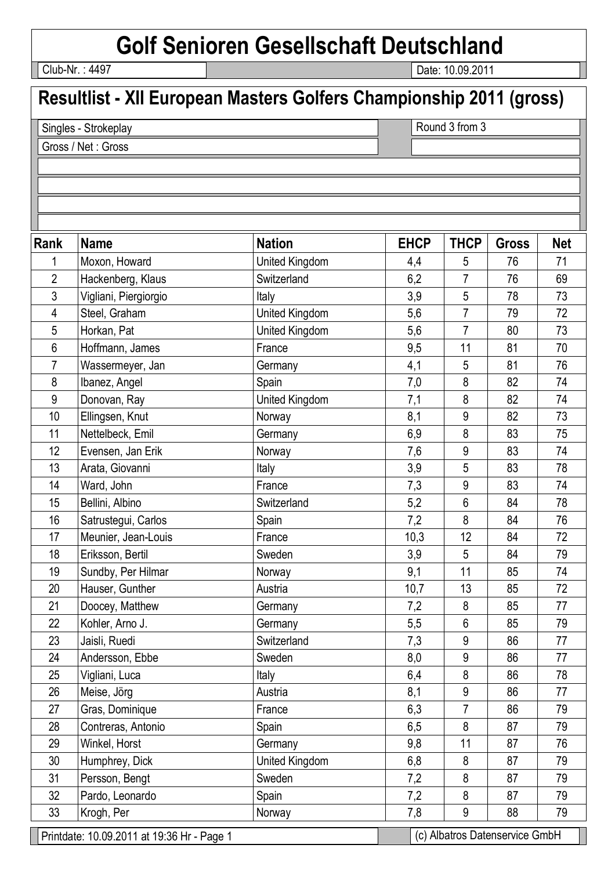## **Golf Senioren Gesellschaft Deutschland**

Club-Nr. : 4497

Date: 10.09.2011

## **Resultlist - XII European Masters Golfers Championship 2011 (gross)**

Singles - Strokeplay Gross / Net : Gross

Round 3 from 3

Printdate: 10.09.2011 at 19:36 Hr - Page 1 (c) Albatros Datenservice GmbH Rank Name | Nation | EHCP | THCP | Gross | Net 1 Moxon, Howard **Notain Communist United Kingdom** 1 4,4 5 76 71 2 Hackenberg, Klaus Switzerland 6,2 7 76 69 3 Vigliani, Piergiorgio **Italy 19** | Italy 10 | 3,9 | 5 | 78 | 73 4 Steel, Graham **United Kingdom** 1 5,6 7 79 72 5 Horkan, Pat United Kingdom 5,6 7 80 73 6 Hoffmann, James France 19.5 11 81 70 7 Wassermeyer, Jan Germany Germany 1 4,1 5 81 76 8 | Ibanez, Angel | Spain 7,0 | 8 | 82 | 74 9 Donovan, Ray Junited Kingdom 1 7,1 8 82 74 10 Ellingsen, Knut Norway 10 8,1 9 82 73 11 Nettelbeck, Emil Cermany 6,9 8 83 75 12 Evensen, Jan Erik Norway 12 | 7.6 | 9 | 83 | 74 13 Arata Giovanni 11taly 11taly 13.9 5 83 78 14 | Ward, John | France | 7,3 | 83 | 74 15 Bellini, Albino Switzerland 5,2 6 84 78 16 Satrustegui, Carlos Spain 7,2 8 84 76 17 | Meunier, Jean-Louis | France | 10,3 | 12 | 84 | 72 18 Eriksson, Bertil Sweden 3,9 5 84 79 19 Sundby, Per Hilmar Norway 19, 1 9.1 11 85 74 20 Hauser Gunther 10,7 13 85 72 21 Doocey, Matthew Germany 1 7.2 8 85 77 22 Kohler, Arno J. (Germany 19: 5.5 6 85 79 23 | Jaisli, Ruedi | Switzerland 7,3 86 77 24 Andersson, Ebbe Sweden 8,0 9 86 77 25 | Vigliani, Luca | Italy | 1taly | 6,4 | 8 | 86 | 78 26 |Meise, Jörg | Austria 8,1 | 9 | 86 | 77 27 Gras, Dominique France 1 6,3 7 86 79 28 | Contreras, Antonio | Spain | 6,5 | 8 | 87 | 79 29 | Winkel, Horst | Germany | 9,8 | 11 | 87 | 76 30 Humphrey, Dick  $\vert$  United Kingdom  $\vert$  6,8  $\vert$  8  $\vert$  87  $\vert$  79 31 Persson, Bengt Sweden 1 7,2 8 87 79 32 Pardo, Leonardo Spain Spain 1 7,2 8 87 79 33 Krogh, Per | Norway | 7,8 | 9 | 88 | 79